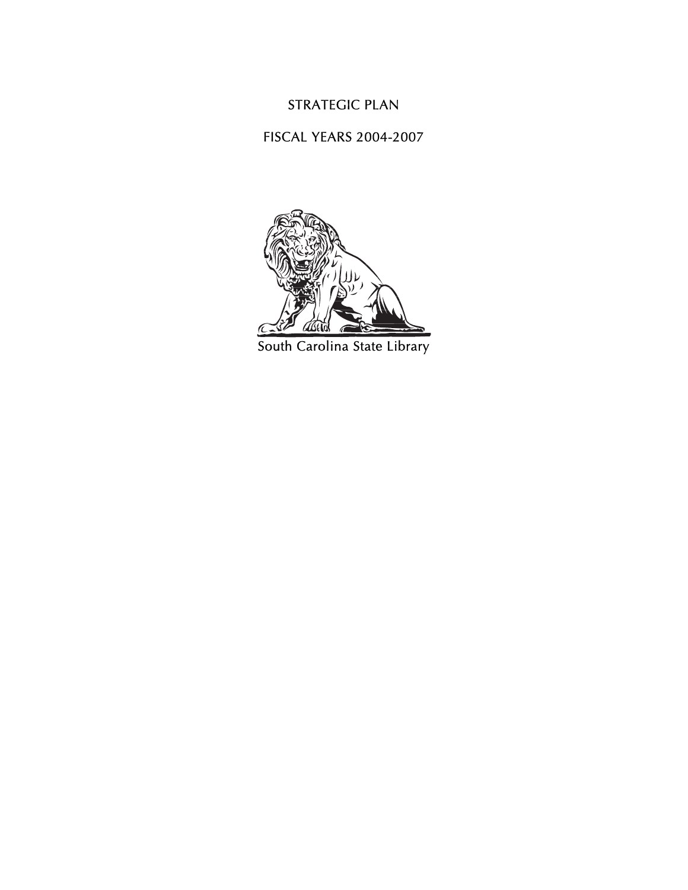### STRATEGIC PLAN

#### FISCAL YEARS 2004-2007



South Carolina State Library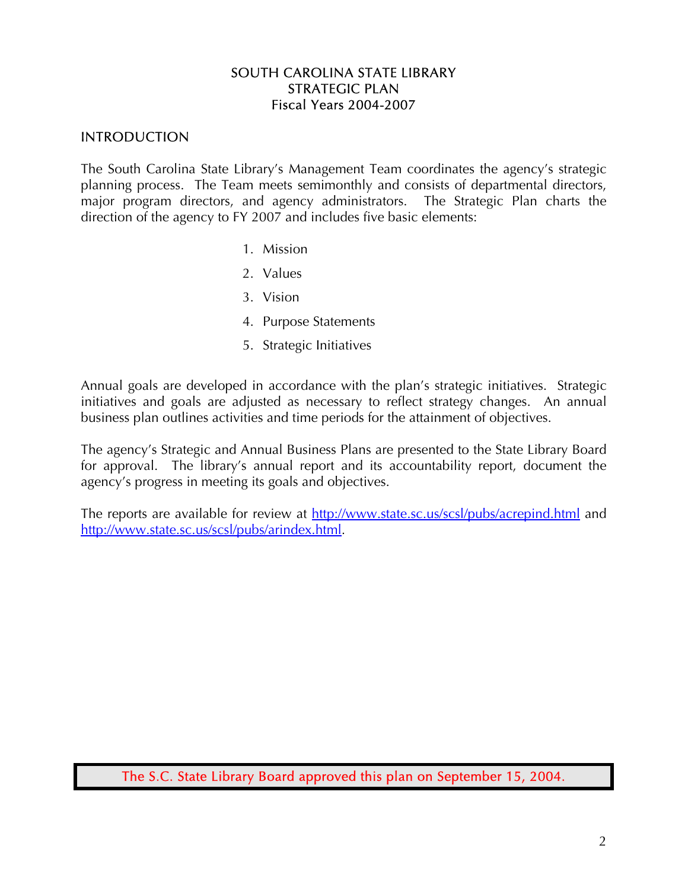#### SOUTH CAROLINA STATE LIBRARY STRATEGIC PLAN Fiscal Years 2004-2007

### INTRODUCTION

The South Carolina State Library's Management Team coordinates the agency's strategic planning process. The Team meets semimonthly and consists of departmental directors, major program directors, and agency administrators. The Strategic Plan charts the direction of the agency to FY 2007 and includes five basic elements:

- 1. Mission
- 2. Values
- 3. Vision
- 4. Purpose Statements
- 5. Strategic Initiatives

Annual goals are developed in accordance with the plan's strategic initiatives. Strategic initiatives and goals are adjusted as necessary to reflect strategy changes. An annual business plan outlines activities and time periods for the attainment of objectives.

The agency's Strategic and Annual Business Plans are presented to the State Library Board for approval. The library's annual report and its accountability report, document the agency's progress in meeting its goals and objectives.

The reports are available for review at http://www.state.sc.us/scsl/pubs/acrepind.html and http://www.state.sc.us/scsl/pubs/arindex.html.

The S.C. State Library Board approved this plan on September 15, 2004.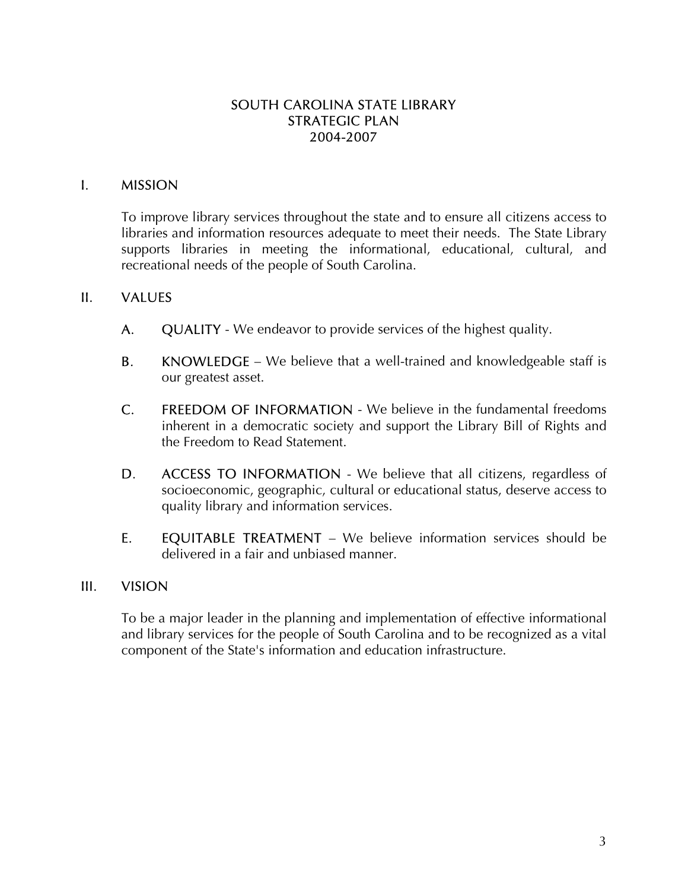### SOUTH CAROLINA STATE LIBRARY STRATEGIC PLAN 2004-2007

### I. MISSION

To improve library services throughout the state and to ensure all citizens access to libraries and information resources adequate to meet their needs. The State Library supports libraries in meeting the informational, educational, cultural, and recreational needs of the people of South Carolina.

#### II. VALUES

- A. QUALITY We endeavor to provide services of the highest quality.
- **B.** KNOWLEDGE We believe that a well-trained and knowledgeable staff is our greatest asset.
- C. FREEDOM OF INFORMATION We believe in the fundamental freedoms inherent in a democratic society and support the Library Bill of Rights and the Freedom to Read Statement.
- D. ACCESS TO INFORMATION We believe that all citizens, regardless of socioeconomic, geographic, cultural or educational status, deserve access to quality library and information services.
- E. EQUITABLE TREATMENT We believe information services should be delivered in a fair and unbiased manner.

#### III. VISION

To be a major leader in the planning and implementation of effective informational and library services for the people of South Carolina and to be recognized as a vital component of the State's information and education infrastructure.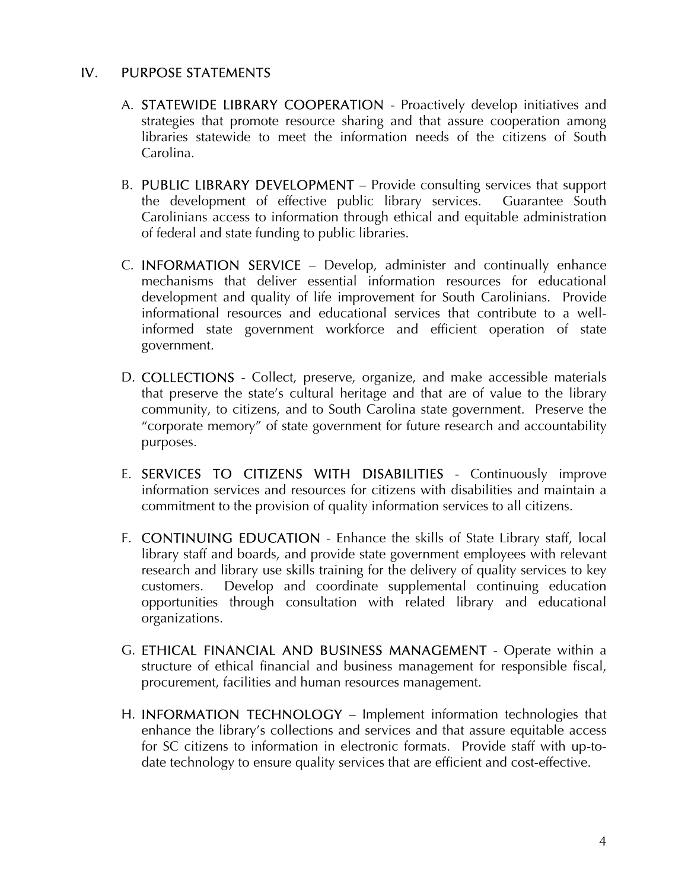#### IV. PURPOSE STATEMENTS

- A. STATEWIDE LIBRARY COOPERATION Proactively develop initiatives and strategies that promote resource sharing and that assure cooperation among libraries statewide to meet the information needs of the citizens of South Carolina.
- B. PUBLIC LIBRARY DEVELOPMENT Provide consulting services that support the development of effective public library services. Guarantee South Carolinians access to information through ethical and equitable administration of federal and state funding to public libraries.
- C. INFORMATION SERVICE Develop, administer and continually enhance mechanisms that deliver essential information resources for educational development and quality of life improvement for South Carolinians. Provide informational resources and educational services that contribute to a wellinformed state government workforce and efficient operation of state government.
- D. COLLECTIONS Collect, preserve, organize, and make accessible materials that preserve the state's cultural heritage and that are of value to the library community, to citizens, and to South Carolina state government. Preserve the "corporate memory" of state government for future research and accountability purposes.
- E. SERVICES TO CITIZENS WITH DISABILITIES Continuously improve information services and resources for citizens with disabilities and maintain a commitment to the provision of quality information services to all citizens.
- F. CONTINUING EDUCATION Enhance the skills of State Library staff, local library staff and boards, and provide state government employees with relevant research and library use skills training for the delivery of quality services to key customers. Develop and coordinate supplemental continuing education opportunities through consultation with related library and educational organizations.
- G. ETHICAL FINANCIAL AND BUSINESS MANAGEMENT Operate within a structure of ethical financial and business management for responsible fiscal, procurement, facilities and human resources management.
- H. INFORMATION TECHNOLOGY Implement information technologies that enhance the library's collections and services and that assure equitable access for SC citizens to information in electronic formats. Provide staff with up-todate technology to ensure quality services that are efficient and cost-effective.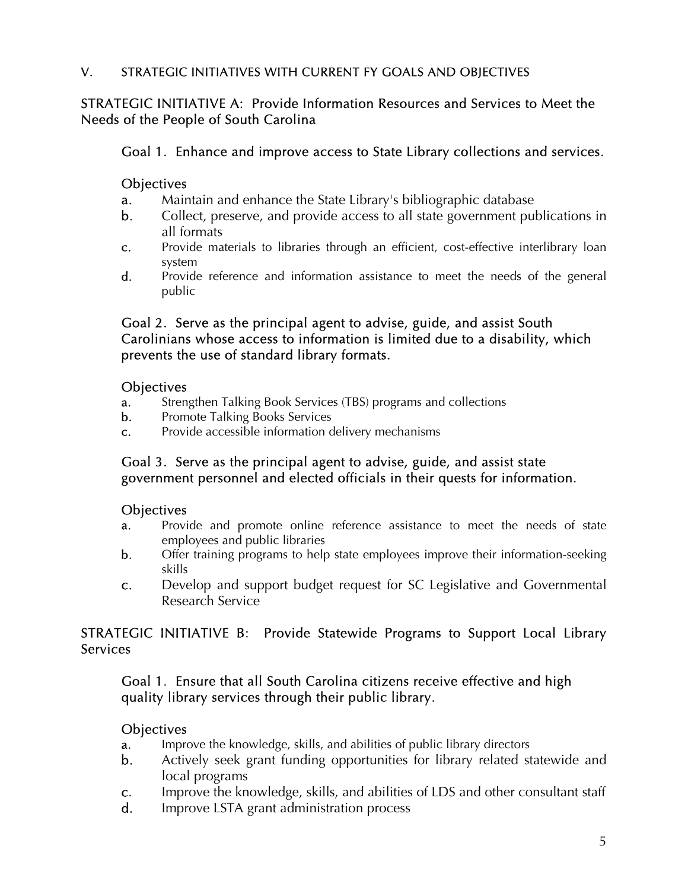### V. STRATEGIC INITIATIVES WITH CURRENT FY GOALS AND OBJECTIVES

### STRATEGIC INITIATIVE A: Provide Information Resources and Services to Meet the Needs of the People of South Carolina

#### Goal 1. Enhance and improve access to State Library collections and services.

#### **Objectives**

- a. Maintain and enhance the State Library's bibliographic database
- b. Collect, preserve, and provide access to all state government publications in all formats
- c. Provide materials to libraries through an efficient, cost-effective interlibrary loan system
- d. Provide reference and information assistance to meet the needs of the general public

#### Goal 2. Serve as the principal agent to advise, guide, and assist South Carolinians whose access to information is limited due to a disability, which prevents the use of standard library formats.

#### **Objectives**

- a. Strengthen Talking Book Services (TBS) programs and collections
- **b.** Promote Talking Books Services
- c. Provide accessible information delivery mechanisms

## Goal 3. Serve as the principal agent to advise, guide, and assist state government personnel and elected officials in their quests for information.

### **Objectives**

- a. Provide and promote online reference assistance to meet the needs of state employees and public libraries
- b. Offer training programs to help state employees improve their information-seeking skills
- c. Develop and support budget request for SC Legislative and Governmental Research Service

### STRATEGIC INITIATIVE B: Provide Statewide Programs to Support Local Library **Services**

### Goal 1. Ensure that all South Carolina citizens receive effective and high quality library services through their public library.

### **Objectives**

- a. Improve the knowledge, skills, and abilities of public library directors
- b. Actively seek grant funding opportunities for library related statewide and local programs
- c. Improve the knowledge, skills, and abilities of LDS and other consultant staff
- d. Improve LSTA grant administration process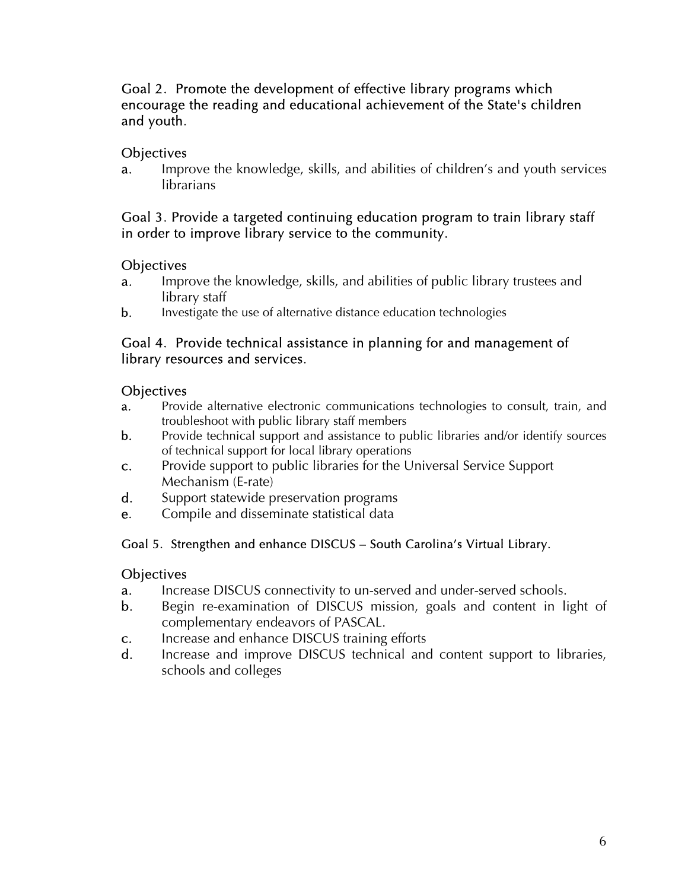### Goal 2. Promote the development of effective library programs which encourage the reading and educational achievement of the State's children and youth.

# **Objectives**

a. Improve the knowledge, skills, and abilities of children's and youth services **librarians** 

## Goal 3. Provide a targeted continuing education program to train library staff in order to improve library service to the community.

## **Objectives**

- a. Improve the knowledge, skills, and abilities of public library trustees and library staff
- b. Investigate the use of alternative distance education technologies

## Goal 4. Provide technical assistance in planning for and management of library resources and services.

## **Objectives**

- a. Provide alternative electronic communications technologies to consult, train, and troubleshoot with public library staff members
- b. Provide technical support and assistance to public libraries and/or identify sources of technical support for local library operations
- c. Provide support to public libraries for the Universal Service Support Mechanism (E-rate)
- d. Support statewide preservation programs
- e. Compile and disseminate statistical data

# Goal 5. Strengthen and enhance DISCUS – South Carolina's Virtual Library.

# **Objectives**

- **a.** Increase DISCUS connectivity to un-served and under-served schools.
- b. Begin re-examination of DISCUS mission, goals and content in light of complementary endeavors of PASCAL.
- c. Increase and enhance DISCUS training efforts
- d. Increase and improve DISCUS technical and content support to libraries, schools and colleges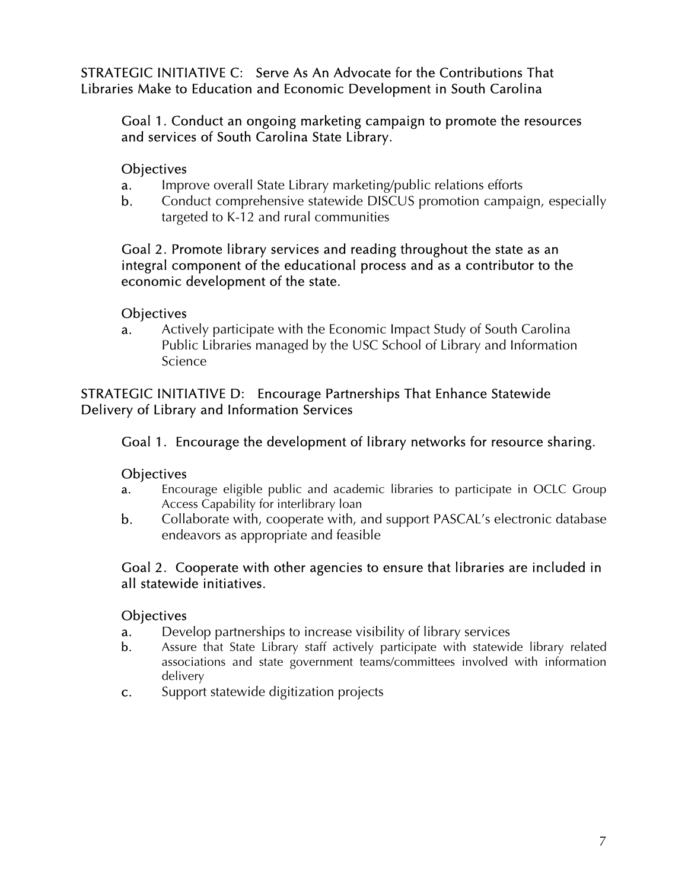STRATEGIC INITIATIVE C: Serve As An Advocate for the Contributions That Libraries Make to Education and Economic Development in South Carolina

### Goal 1. Conduct an ongoing marketing campaign to promote the resources and services of South Carolina State Library.

### **Objectives**

- a. Improve overall State Library marketing/public relations efforts
- b. Conduct comprehensive statewide DISCUS promotion campaign, especially targeted to K-12 and rural communities

### Goal 2. Promote library services and reading throughout the state as an integral component of the educational process and as a contributor to the economic development of the state.

## **Objectives**

**a.** Actively participate with the Economic Impact Study of South Carolina Public Libraries managed by the USC School of Library and Information Science

### STRATEGIC INITIATIVE D: Encourage Partnerships That Enhance Statewide Delivery of Library and Information Services

# Goal 1. Encourage the development of library networks for resource sharing.

### **Objectives**

- a. Encourage eligible public and academic libraries to participate in OCLC Group Access Capability for interlibrary loan
- b. Collaborate with, cooperate with, and support PASCAL's electronic database endeavors as appropriate and feasible

### Goal 2. Cooperate with other agencies to ensure that libraries are included in all statewide initiatives.

### **Objectives**

- a. Develop partnerships to increase visibility of library services
- b. Assure that State Library staff actively participate with statewide library related associations and state government teams/committees involved with information delivery
- c. Support statewide digitization projects